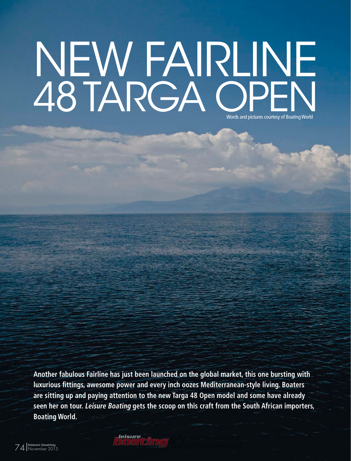## NEW FAIRLINE AS TARGA OPEN Words and pictures courtesy of Boating World

**Another fabulous Fairline has just been launched on the global market, this one bursting with luxurious fittings, awesome power and every inch oozes Mediterranean-style living. Boaters are sitting up and paying attention to the new Targa 48 Open model and some have already seen her on tour. Leisure Boating gets the scoop on this craft from the South African importers, Boating World.**

leisure boating <sup>74</sup> November 2013 ©Leisure Boating magazine *boating SA's top selling powerboat magazine* www.leisureboating.co.za *leisure*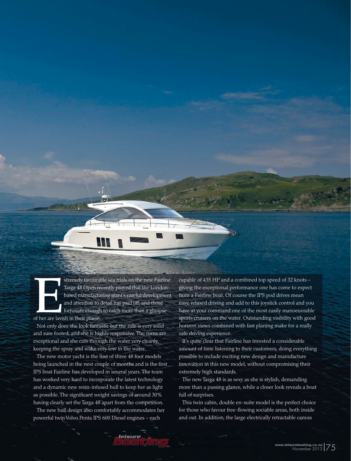Xtremely favourable sea trials on the new Fairline<br>Targa 48 Open recently proved that the London-<br>based manufacturing giant's careful development<br>and attention to detail has paid off, and those<br>fortunate enough to catch mo Targa 48 Open recently proved that the Londonbased manufacturing giant's careful development and attention to detail has paid off, and those fortunate enough to catch more than a glimpse of her are lavish in their praise.

Not only does she look fantastic but the ride is very solid and sure footed, and she is highly responsive. The turns are exceptional and she cuts through the water very cleanly, keeping the spray and wake very low in the water.

The new motor yacht is the first of three 48 foot models being launched in the next couple of months and is the first IPS boat Fairline has developed in several years. The team has worked very hard to incorporate the latest technology and a dynamic new resin-infused hull to keep her as light as possible. The significant weight savings of around 30% having clearly set the Targa 48 apart from the competition.

The new hull design also comfortably accommodates her powerful twin Volvo Penta IPS 600 Diesel engines – each

capable of 435 HP and a combined top speed of 32 knots – giving the exceptional performance one has come to expect from a Fairline boat. Of course the IPS pod drives mean easy, relaxed driving and add to this joystick control and you have at your command one of the most easily manoeuvrable sports cruisers on the water. Outstanding visibility with good horizon views combined with fast planing make for a really safe driving experience.

It's quite clear that Fairline has invested a considerable amount of time listening to their customers, doing everything possible to include exciting new design and manufacture innovation in this new model, without compromising their extremely high standards.

The new Targa 48 is as sexy as she is stylish, demanding more than a passing glance, while a closer look reveals a boat full of surprises.

This twin cabin, double en-suite model is the perfect choice for those who favour free-flowing sociable areas, both inside and out. In addition, the large electrically retractable canvas

Leisure Boating magazine *boating SA's top selling powerboat magazine* www.leisureboating.co.za *leisure*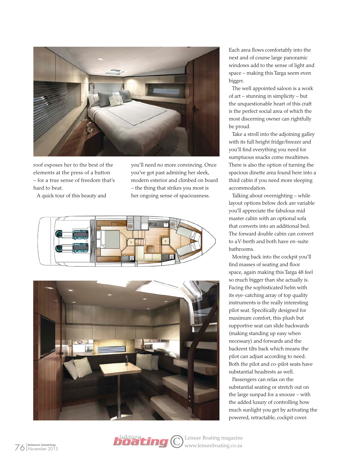

roof exposes her to the best of the elements at the press of a button – for a true sense of freedom that's hard to beat.

A quick tour of this beauty and

you'll need no more convincing. Once you've got past admiring her sleek, modern exterior and climbed on board – the thing that strikes you most is her ongoing sense of spaciousness.





*leisure*

Each area flows comfortably into the next and of course large panoramic windows add to the sense of light and space – making this Targa seem even bigger.

The well appointed saloon is a work of art – stunning in simplicity – but the unquestionable heart of this craft is the perfect social area of which the most discerning owner can rightfully be proud.

Take a stroll into the adjoining galley with its full height fridge/freezer and you'll find everything you need for sumptuous snacks come mealtimes. There is also the option of turning the spacious dinette area found here into a third cabin if you need more sleeping accommodation.

Talking about overnighting – while layout options below deck are variable you'll appreciate the fabulous mid master cabin with an optional sofa that converts into an additional bed. The forward double cabin can convert to a V-berth and both have en-suite bathrooms.

Moving back into the cockpit you'll find masses of seating and floor space, again making this Targa 48 feel so much bigger than she actually is. Facing the sophisticated helm with its eye-catching array of top quality instruments is the really interesting pilot seat. Specifically designed for maximum comfort, this plush but supportive seat can slide backwards (making standing up easy when necessary) and forwards and the backrest tilts back which means the pilot can adjust according to need. Both the pilot and co-pilot seats have substantial headrests as well.

Passengers can relax on the substantial seating or stretch out on the large sunpad for a snooze – with the added luxury of controlling how much sunlight you get by activating the powered, retractable, cockpit cover.

leisure boating <sup>76</sup> November 2013 ©Leisure Boating magazine *boating SA's top selling powerboat magazine* www.leisureboating.co.za